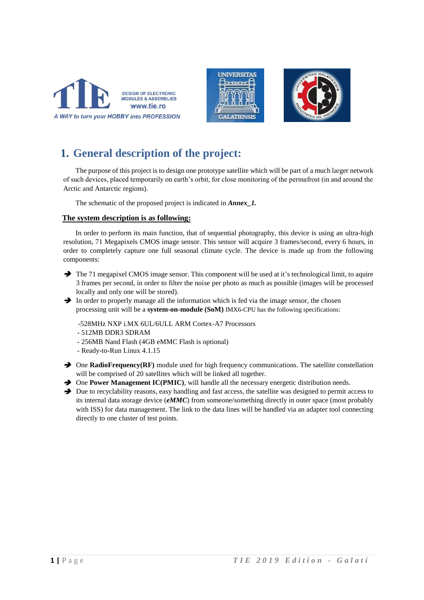





# **1. General description of the project:**

The purpose of this project is to design one prototype satellite which will be part of a much larger network of such devices, placed temporarily on earth's orbit, for close monitoring of the permafrost (in and around the Arctic and Antarctic regions).

The schematic of the proposed project is indicated in *Annex\_1.*

#### **The system description is as following:**

In order to perform its main function, that of sequential photography, this device is using an ultra-high resolution, 71 Megapixels CMOS image sensor. This sensor will acquire 3 frames/second, every 6 hours, in order to completely capture one full seasonal climate cycle. The device is made up from the following components:

- → The 71 megapixel CMOS image sensor. This component will be used at it's technological limit, to aquire 3 frames per second, in order to filter the noise per photo as much as possible (images will be processed locally and only one will be stored).
- ➔ In order to properly manage all the information which is fed via the image sensor, the chosen processing unit will be a **system-on-module (SoM)** IMX6-CPU has the following specifications:
	- -528MHz NXP i.MX 6UL/6ULL ARM Cortex-A7 Processors
	- 512MB DDR3 SDRAM
	- 256MB Nand Flash (4GB eMMC Flash is optional)
	- Ready-to-Run Linux 4.1.15
- → One **RadioFrequency(RF)** module used for high frequency communications. The satellite constellation will be comprised of 20 satellites which will be linked all together.
- **→** One **Power Management IC(PMIC)**, will handle all the necessary energetic distribution needs.
- ➔ Due to recyclability reasons, easy handling and fast access, the satellite was designed to permit access to its internal data storage device (*eMMC*) from someone/something directly in outer space (most probably with ISS) for data management. The link to the data lines will be handled via an adapter tool connecting directly to one cluster of test points.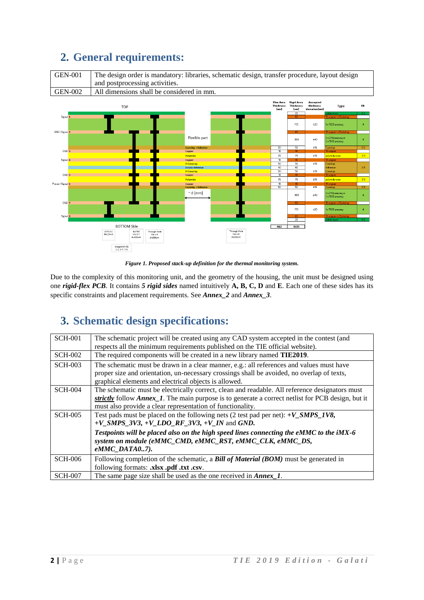

#### **2. General requirements:**

*Figure 1. Proposed stack-up definition for the thermal monitoring system.*

Due to the complexity of this monitoring unit, and the geometry of the housing, the unit must be designed using one *rigid-flex PCB*. It contains *5 rigid sides* named intuitively **A, B, C, D** and **E**. Each one of these sides has its specific constraints and placement requirements. See *Annex\_2* and *Annex\_3*.

#### **3. Schematic design specifications:**

| <b>SCH-001</b> | The schematic project will be created using any CAD system accepted in the contest (and<br>respects all the minimum requirements published on the TIE official website). |
|----------------|--------------------------------------------------------------------------------------------------------------------------------------------------------------------------|
| <b>SCH-002</b> | The required components will be created in a new library named <b>TIE2019</b> .                                                                                          |
| $SCH-003$      | The schematic must be drawn in a clear manner, e.g.: all references and values must have                                                                                 |
|                | proper size and orientation, un-necessary crossings shall be avoided, no overlap of texts,<br>graphical elements and electrical objects is allowed.                      |
| <b>SCH-004</b> | The schematic must be electrically correct, clean and readable. All reference designators must                                                                           |
|                | strictly follow Annex_1. The main purpose is to generate a correct netlist for PCB design, but it                                                                        |
|                | must also provide a clear representation of functionality.                                                                                                               |
| $SCH-005$      | Test pads must be placed on the following nets (2 test pad per net): $+V\_SMPS\_IV8$ ,<br>$+V\_SMPS\_3V3, +V\_LDO\_RF\_3V3, +V\_IN$ and GND.                             |
|                | Testpoints will be placed also on the high speed lines connecting the eMMC to the iMX-6<br>system on module (eMMC_CMD, eMMC_RST, eMMC_CLK, eMMC_DS,<br>eMMC DATA07).     |
| <b>SCH-006</b> | Following completion of the schematic, a <b>Bill of Material (BOM)</b> must be generated in<br>following formats: .xlsx .pdf .txt .csv.                                  |
| <b>SCH-007</b> | The same page size shall be used as the one received in $Annex_1$ .                                                                                                      |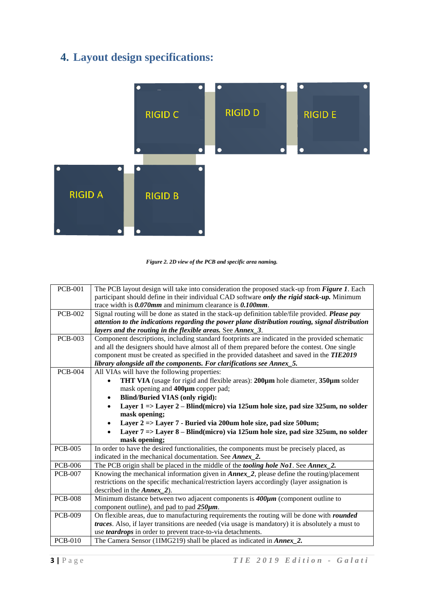# **4. Layout design specifications:**



#### *Figure 2. 2D view of the PCB and specific area naming.*

| <b>PCB-001</b> | The PCB layout design will take into consideration the proposed stack-up from Figure 1. Each              |  |  |  |
|----------------|-----------------------------------------------------------------------------------------------------------|--|--|--|
|                | participant should define in their individual CAD software only the rigid stack-up. Minimum               |  |  |  |
|                | trace width is $0.070$ mm and minimum clearance is $0.100$ mm.                                            |  |  |  |
| <b>PCB-002</b> | Signal routing will be done as stated in the stack-up definition table/file provided. Please pay          |  |  |  |
|                | attention to the indications regarding the power plane distribution routing, signal distribution          |  |  |  |
|                | layers and the routing in the flexible areas. See Annex_3.                                                |  |  |  |
| <b>PCB-003</b> | Component descriptions, including standard footprints are indicated in the provided schematic             |  |  |  |
|                | and all the designers should have almost all of them prepared before the contest. One single              |  |  |  |
|                | component must be created as specified in the provided datasheet and saved in the TIE2019                 |  |  |  |
|                | library alongside all the components. For clarifications see Annex_5.                                     |  |  |  |
| <b>PCB-004</b> | All VIAs will have the following properties:                                                              |  |  |  |
|                | THT VIA (usage for rigid and flexible areas): 200µm hole diameter, 350µm solder                           |  |  |  |
|                | mask opening and 400µm copper pad;                                                                        |  |  |  |
|                | <b>Blind/Buried VIAS (only rigid):</b><br>$\bullet$                                                       |  |  |  |
|                | Layer 1 => Layer 2 - Blind(micro) via 125um hole size, pad size 325um, no solder                          |  |  |  |
|                | mask opening;                                                                                             |  |  |  |
|                | Layer 2 => Layer 7 - Buried via 200um hole size, pad size 500um;                                          |  |  |  |
|                | Layer 7 => Layer 8 - Blind(micro) via 125um hole size, pad size 325um, no solder                          |  |  |  |
|                | mask opening;                                                                                             |  |  |  |
| <b>PCB-005</b> | In order to have the desired functionalities, the components must be precisely placed, as                 |  |  |  |
|                | indicated in the mechanical documentation. See Annex_2.                                                   |  |  |  |
| <b>PCB-006</b> | The PCB origin shall be placed in the middle of the <i>tooling hole No1</i> . See Annex_2.                |  |  |  |
| <b>PCB-007</b> | Knowing the mechanical information given in $Annex_2$ , please define the routing/placement               |  |  |  |
|                | restrictions on the specific mechanical/restriction layers accordingly (layer assignation is              |  |  |  |
|                | described in the $Annex_2$ ).                                                                             |  |  |  |
| <b>PCB-008</b> | Minimum distance between two adjacent components is $400 \mu m$ (component outline to                     |  |  |  |
|                | component outline), and pad to pad $250 \mu m$ .                                                          |  |  |  |
| <b>PCB-009</b> | On flexible areas, due to manufacturing requirements the routing will be done with <i>rounded</i>         |  |  |  |
|                | <i>traces</i> . Also, if layer transitions are needed (via usage is mandatory) it is absolutely a must to |  |  |  |
|                | use <i>teardrops</i> in order to prevent trace-to-via detachments.                                        |  |  |  |
| <b>PCB-010</b> | The Camera Sensor (1IMG219) shall be placed as indicated in <i>Annex</i> 2.                               |  |  |  |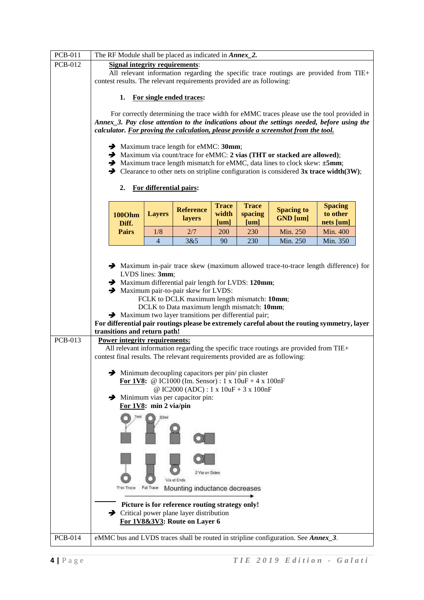| <b>PCB-011</b> | The RF Module shall be placed as indicated in Annex_2.                                                                                                                   |                                                            |                                                                                                                                                                                                                                                                                                                                                                                                                                                                                                                                                                                                                                                         |              |              |                                                                                                                                                       |                                                                                                                                                                                     |
|----------------|--------------------------------------------------------------------------------------------------------------------------------------------------------------------------|------------------------------------------------------------|---------------------------------------------------------------------------------------------------------------------------------------------------------------------------------------------------------------------------------------------------------------------------------------------------------------------------------------------------------------------------------------------------------------------------------------------------------------------------------------------------------------------------------------------------------------------------------------------------------------------------------------------------------|--------------|--------------|-------------------------------------------------------------------------------------------------------------------------------------------------------|-------------------------------------------------------------------------------------------------------------------------------------------------------------------------------------|
| <b>PCB-012</b> | <b>Signal integrity requirements:</b>                                                                                                                                    |                                                            |                                                                                                                                                                                                                                                                                                                                                                                                                                                                                                                                                                                                                                                         |              |              |                                                                                                                                                       |                                                                                                                                                                                     |
|                | All relevant information regarding the specific trace routings are provided from TIE+                                                                                    |                                                            |                                                                                                                                                                                                                                                                                                                                                                                                                                                                                                                                                                                                                                                         |              |              |                                                                                                                                                       |                                                                                                                                                                                     |
|                | contest results. The relevant requirements provided are as following:                                                                                                    |                                                            |                                                                                                                                                                                                                                                                                                                                                                                                                                                                                                                                                                                                                                                         |              |              |                                                                                                                                                       |                                                                                                                                                                                     |
|                | For single ended traces:<br>1.                                                                                                                                           |                                                            |                                                                                                                                                                                                                                                                                                                                                                                                                                                                                                                                                                                                                                                         |              |              |                                                                                                                                                       |                                                                                                                                                                                     |
|                |                                                                                                                                                                          |                                                            |                                                                                                                                                                                                                                                                                                                                                                                                                                                                                                                                                                                                                                                         |              |              |                                                                                                                                                       | For correctly determining the trace width for eMMC traces please use the tool provided in                                                                                           |
|                |                                                                                                                                                                          |                                                            |                                                                                                                                                                                                                                                                                                                                                                                                                                                                                                                                                                                                                                                         |              |              |                                                                                                                                                       | Annex_3. Pay close attention to the indications about the settings needed, before using the                                                                                         |
|                | calculator. For proving the calculation, please provide a screenshot from the tool.                                                                                      |                                                            |                                                                                                                                                                                                                                                                                                                                                                                                                                                                                                                                                                                                                                                         |              |              |                                                                                                                                                       |                                                                                                                                                                                     |
|                |                                                                                                                                                                          |                                                            | Maximum trace length for eMMC: 30mm;                                                                                                                                                                                                                                                                                                                                                                                                                                                                                                                                                                                                                    |              |              | > Maximum via count/trace for eMMC: 2 vias (THT or stacked are allowed);<br>> Maximum trace length mismatch for eMMC, data lines to clock skew: ±5mm; |                                                                                                                                                                                     |
|                |                                                                                                                                                                          |                                                            |                                                                                                                                                                                                                                                                                                                                                                                                                                                                                                                                                                                                                                                         |              |              | $\rightarrow$ Clearance to other nets on stripline configuration is considered 3x trace width(3W);                                                    |                                                                                                                                                                                     |
|                | 2.                                                                                                                                                                       | For differential pairs:                                    |                                                                                                                                                                                                                                                                                                                                                                                                                                                                                                                                                                                                                                                         |              |              |                                                                                                                                                       |                                                                                                                                                                                     |
|                |                                                                                                                                                                          |                                                            |                                                                                                                                                                                                                                                                                                                                                                                                                                                                                                                                                                                                                                                         | <b>Trace</b> | <b>Trace</b> |                                                                                                                                                       | <b>Spacing</b>                                                                                                                                                                      |
|                | <b>1000hm</b>                                                                                                                                                            | <b>Layers</b>                                              | <b>Reference</b><br>layers                                                                                                                                                                                                                                                                                                                                                                                                                                                                                                                                                                                                                              | width        | spacing      | <b>Spacing to</b><br><b>GND</b> [um]                                                                                                                  | to other                                                                                                                                                                            |
|                | Diff.                                                                                                                                                                    |                                                            |                                                                                                                                                                                                                                                                                                                                                                                                                                                                                                                                                                                                                                                         | [um]         | [um]         |                                                                                                                                                       | nets [um]                                                                                                                                                                           |
|                | <b>Pairs</b>                                                                                                                                                             | 1/8                                                        | 2/7                                                                                                                                                                                                                                                                                                                                                                                                                                                                                                                                                                                                                                                     | 200          | 230          | Min. 250                                                                                                                                              | Min. 400                                                                                                                                                                            |
|                |                                                                                                                                                                          | $\overline{4}$                                             | 3&5                                                                                                                                                                                                                                                                                                                                                                                                                                                                                                                                                                                                                                                     | 90           | 230          | Min. 250                                                                                                                                              | Min. 350                                                                                                                                                                            |
| <b>PCB-013</b> | transitions and return path!<br><b>Power integrity requirements:</b><br>contest final results. The relevant requirements provided are as following:<br><b>Thin Trace</b> | LVDS lines: 3mm;<br>For $1V8$ : min 2 via/pin<br>Fat Trace | Maximum differential pair length for LVDS: 120mm;<br>Maximum pair-to-pair skew for LVDS:<br>FCLK to DCLK maximum length mismatch: 10mm;<br>DCLK to Data maximum length mismatch: 10mm;<br>Maximum two layer transitions per differential pair;<br>Minimum decoupling capacitors per pin/ pin cluster<br><b>For 1V8:</b> @ IC1000 (Im. Sensor) : $1 \times 10uF + 4 \times 100nF$<br>@ IC2000 (ADC) : 1 x 10uF + 3 x 100nF<br>$\rightarrow$ Minimum vias per capacitor pin:<br>2 Via on Sides<br>ia at Ends<br>Mounting inductance decreases<br>Picture is for reference routing strategy only!<br>$\rightarrow$ Critical power plane layer distribution |              |              | All relevant information regarding the specific trace routings are provided from TIE+                                                                 | • Maximum in-pair trace skew (maximum allowed trace-to-trace length difference) for<br>For differential pair routings please be extremely careful about the routing symmetry, layer |
|                |                                                                                                                                                                          |                                                            | For 1V8&3V3: Route on Layer 6                                                                                                                                                                                                                                                                                                                                                                                                                                                                                                                                                                                                                           |              |              |                                                                                                                                                       |                                                                                                                                                                                     |
| <b>PCB-014</b> | eMMC bus and LVDS traces shall be routed in stripline configuration. See Annex_3.                                                                                        |                                                            |                                                                                                                                                                                                                                                                                                                                                                                                                                                                                                                                                                                                                                                         |              |              |                                                                                                                                                       |                                                                                                                                                                                     |